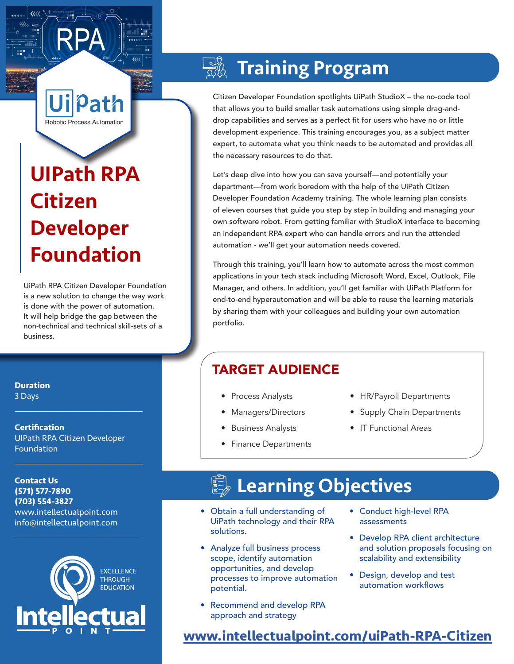# UIPath RPA Citizen Developer Foundation

Robotic Process Automation

ath

UiPath RPA Citizen Developer Foundation is a new solution to change the way work is done with the power of automation. It will help bridge the gap between the non-technical and technical skill-sets of a business.

## **Training Program**

Citizen Developer Foundation spotlights UiPath StudioX – the no-code tool that allows you to build smaller task automations using simple drag-anddrop capabilities and serves as a perfect fit for users who have no or little development experience. This training encourages you, as a subject matter expert, to automate what you think needs to be automated and provides all the necessary resources to do that.

Let's deep dive into how you can save yourself—and potentially your department—from work boredom with the help of the UiPath Citizen Developer Foundation Academy training. The whole learning plan consists of eleven courses that guide you step by step in building and managing your own software robot. From getting familiar with StudioX interface to becoming an independent RPA expert who can handle errors and run the attended automation - we'll get your automation needs covered.

Through this training, you'll learn how to automate across the most common applications in your tech stack including Microsoft Word, Excel, Outlook, File Manager, and others. In addition, you'll get familiar with UiPath Platform for end-to-end hyperautomation and will be able to reuse the learning materials by sharing them with your colleagues and building your own automation portfolio.

### TARGET AUDIENCE

- Process Analysts
- Managers/Directors
- Business Analysts
- Finance Departments
- HR/Payroll Departments
- Supply Chain Departments
- IT Functional Areas

## Learning Objectives

- Obtain a full understanding of UiPath technology and their RPA solutions.
- Analyze full business process scope, identify automation opportunities, and develop processes to improve automation potential.
- Recommend and develop RPA approach and strategy
- Conduct high-level RPA assessments
- Develop RPA client architecture and solution proposals focusing on scalability and extensibility
- Design, develop and test automation workflows

### **[www.intellectualpoint.com/u](http://intellectualpoint.com/uipath-rpa-citizen-developer)iPath-RPA-Citizen**

**Duration** 3 Days

**Certification** UIPath RPA Citizen Developer Foundation

 $\mathcal{L}_\text{max}$  and  $\mathcal{L}_\text{max}$  and  $\mathcal{L}_\text{max}$  and  $\mathcal{L}_\text{max}$ 

 $\mathcal{L}_\text{max}$  and  $\mathcal{L}_\text{max}$  and  $\mathcal{L}_\text{max}$  and  $\mathcal{L}_\text{max}$ 

**Contact Us (571) 577-7890 (703) 554-3827** www.intellectualpoint.com info@intellectualpoint.com



 $\mathcal{L}_\text{max}$  and  $\mathcal{L}_\text{max}$  and  $\mathcal{L}_\text{max}$  and  $\mathcal{L}_\text{max}$